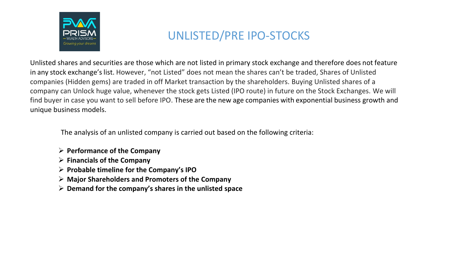

# UNLISTED/PRE IPO-STOCKS

Unlisted shares and securities are those which are not listed in primary stock exchange and therefore does not feature in any stock exchange'slist. However, "not Listed" does not mean the shares can't be traded, Shares of Unlisted companies (Hidden gems) are traded in off Market transaction by the shareholders. Buying Unlisted shares of a company can Unlock huge value, whenever the stock gets Listed (IPO route) in future on the Stock Exchanges. We will find buyer in case you want to sell before IPO. These are the new age companies with exponential business growth and unique business models.

The analysis of an unlisted company is carried out based on the following criteria:

- ➢ **Performance of the Company**
- ➢ **Financials of the Company**
- ➢ **Probable timeline for the Company's IPO**
- ➢ **Major Shareholders and Promoters of the Company**
- ➢ **Demand for the company's shares in the unlisted space**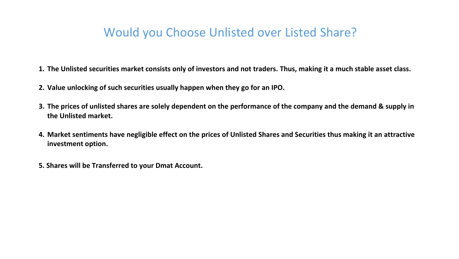## Would you Choose Unlisted over Listed Share?

- **1. The Unlisted securities market consists only of investors and not traders. Thus, making it a much stable asset class.**
- **2. Value unlocking of such securities usually happen when they go for an IPO.**
- **3. The prices of unlisted shares are solely dependent on the performance of the company and the demand & supply in the Unlisted market.**
- **4. Market sentiments have negligible effect on the prices of Unlisted Shares and Securities thus making it an attractive investment option.**
- **5. Shares will be Transferred to your Dmat Account.**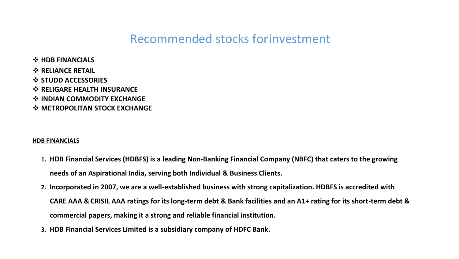- ❖ **HDB FINANCIALS**
- ❖ **RELIANCE RETAIL**
- ❖ **STUDD ACCESSORIES**
- ❖ **RELIGARE HEALTH INSURANCE**
- ❖ **INDIAN COMMODITY EXCHANGE**
- ❖ **METROPOLITAN STOCK EXCHANGE**

#### **HDB FINANCIALS**

- **1. HDB Financial Services (HDBFS) is a leading Non-Banking Financial Company (NBFC) that caters to the growing needs of an Aspirational India, serving both Individual & Business Clients.**
- **2. Incorporated in 2007, we are a well-established business with strong capitalization. HDBFS is accredited with CARE AAA & CRISIL AAA ratings for its long-term debt & Bank facilities and an A1+ rating for its short-term debt & commercial papers, making it a strong and reliable financial institution.**
- **3. HDB Financial Services Limited is a subsidiary company of HDFC Bank.**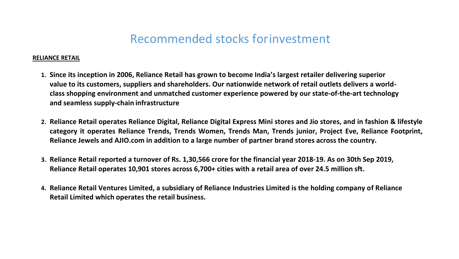#### **RELIANCE RETAIL**

- **1. Since its inception in 2006, Reliance Retail has grown to become India's largest retailer delivering superior value to its customers, suppliers and shareholders. Our nationwide network of retail outlets delivers a worldclass shopping environment and unmatched customer experience powered by our state-of-the-art technology and seamless supply-chain infrastructure**
- **2. Reliance Retail operates Reliance Digital, Reliance Digital Express Mini stores and Jio stores, and in fashion & lifestyle category it operates Reliance Trends, Trends Women, Trends Man, Trends junior, Project Eve, Reliance Footprint, Reliance Jewels and AJIO.com in addition to a large number of partner brand stores across the country.**
- **3. Reliance Retail reported a turnover of Rs. 1,30,566 crore for the financial year 2018-19. As on 30th Sep 2019, Reliance Retail operates 10,901 stores across 6,700+ cities with a retail area of over 24.5 million sft.**
- **4. Reliance Retail Ventures Limited, a subsidiary of Reliance Industries Limited is the holding company of Reliance Retail Limited which operates the retail business.**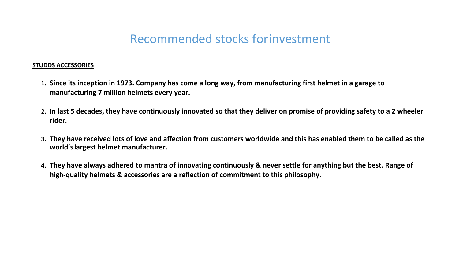#### **STUDDS ACCESSORIES**

- **1. Since its inception in 1973. Company has come a long way, from manufacturing first helmet in a garage to manufacturing 7 million helmets every year.**
- **2. In last 5 decades, they have continuously innovated so that they deliver on promise of providing safety to a 2 wheeler rider.**
- **3. They have received lots of love and affection from customers worldwide and this has enabled them to be called as the world'slargest helmet manufacturer.**
- **4. They have always adhered to mantra of innovating continuously & never settle for anything but the best. Range of high-quality helmets & accessories are a reflection of commitment to this philosophy.**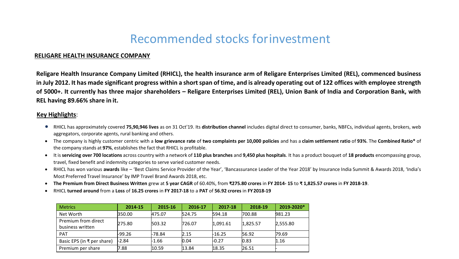#### **RELIGARE HEALTH INSURANCE COMPANY**

**Religare Health Insurance Company Limited (RHICL), the health insurance arm of Religare Enterprises Limited (REL), commenced business** in July 2012. It has made significant progress within a short span of time, and is already operating out of 122 offices with employee strength **of 5000+. It currently has three major shareholders – Religare Enterprises Limited (REL), Union Bank of India and Corporation Bank, with REL having 89.66% share in it.**

#### **Key Highlights**:

- RHICL has approximately covered **75,90,946 lives** as on 31 Oct'19. Its **distribution channel** includes digital direct to consumer, banks, NBFCs, individual agents, brokers, web aggregators, corporate agents, rural banking and others.
- The company is highly customer centric with a **low grievance rate** of **two complaints per 10,000 policies** and has a **claim settlement ratio** of **93%**. The **Combined Ratio\*** of the company stands at **97%**, establishes the fact that RHICL is profitable.
- It is servicing over 700 locations across country with a network of 110 plus branches and 9,450 plus hospitals. It has a product bouquet of 18 products encompassing group, travel, fixed benefit and indemnity categories to serve varied customer needs.
- RHICL has won various **awards** like 'Best Claims Service Provider of the Year', 'Bancassurance Leader of the Year 2018' by Insurance India Summit & Awards 2018, 'India's Most Preferred Travel Insurance' by IMP Travel Brand Awards 2018, etc.
- **The Premium from Direct Business Written** grew at **5 year CAGR** of 60.40%, from **₹275.80 crores** in **FY 2014- 15** to **₹ 1,825.57 crores** in **FY 2018-19**.
- RHICL **turned around** from a **Loss** of **16.25 crores** in **FY 2017-18** to a **PAT** of **56.92 crores** in **FY2018-19**

| <b>Metrics</b>                          | 2014-15 | 2015-16 | 2016-17 | 2017-18  | 2018-19  | 2019-2020* |
|-----------------------------------------|---------|---------|---------|----------|----------|------------|
| Net Worth                               | 350.00  | 475.07  | 524.75  | 594.18   | 700.88   | 981.23     |
| Premium from direct<br>business written | 275.80  | 503.32  | 726.07  | 1,091.61 | 1,825.57 | 2,555.80   |
| <b>PAT</b>                              | -99.26  | -78.84  | 2.15    | -16.25   | 56.92    | 79.69      |
| Basic EPS (in ₹ per share)              | -2.84   | -1.66   | 0.04    | $-0.27$  | 0.83     | 1.16       |
| Premium per share                       | 7.88    | 10.59   | 13.84   | 18.35    | 26.51    |            |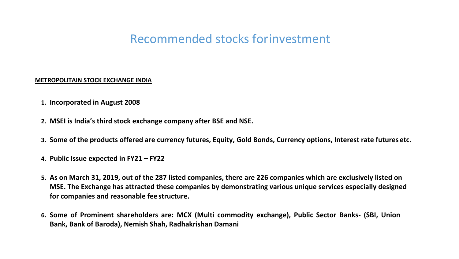#### **METROPOLITAIN STOCK EXCHANGE INDIA**

- **1. Incorporated in August 2008**
- **2. MSEI is India's third stock exchange company after BSE and NSE.**
- **3. Some of the products offered are currency futures, Equity, Gold Bonds, Currency options, Interest rate futures etc.**
- **4. Public Issue expected in FY21 – FY22**
- **5. As on March 31, 2019, out of the 287 listed companies, there are 226 companies which are exclusively listed on MSE. The Exchange has attracted these companies by demonstrating various unique services especially designed for companies and reasonable fee structure.**
- **6. Some of Prominent shareholders are: MCX (Multi commodity exchange), Public Sector Banks- (SBI, Union Bank, Bank of Baroda), Nemish Shah, Radhakrishan Damani**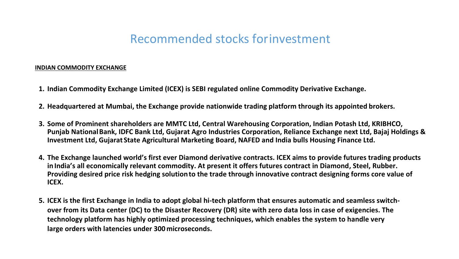#### **INDIAN COMMODITY EXCHANGE**

- **1. Indian Commodity Exchange Limited (ICEX) is SEBI regulated online Commodity Derivative Exchange.**
- **2. Headquartered at Mumbai, the Exchange provide nationwide trading platform through its appointed brokers.**
- **3. Some of Prominent shareholders are MMTC Ltd, Central Warehousing Corporation, Indian Potash Ltd, KRIBHCO, Punjab NationalBank, IDFC Bank Ltd, Gujarat Agro Industries Corporation, Reliance Exchange next Ltd, Bajaj Holdings & Investment Ltd, Gujarat State Agricultural Marketing Board, NAFED and India bulls Housing Finance Ltd.**
- **4. The Exchange launched world's first ever Diamond derivative contracts. ICEX aims to provide futures trading products inIndia's all economically relevant commodity. At present it offers futures contract in Diamond, Steel, Rubber. Providing desired price risk hedging solutionto the trade through innovative contract designing forms core value of ICEX.**
- **5. ICEX is the first Exchange in India to adopt global hi-tech platform that ensures automatic and seamless switchover from its Data center (DC) to the Disaster Recovery (DR) site with zero data loss in case of exigencies. The technology platform has highly optimized processing techniques, which enables the system to handle very large orders with latencies under 300 microseconds.**